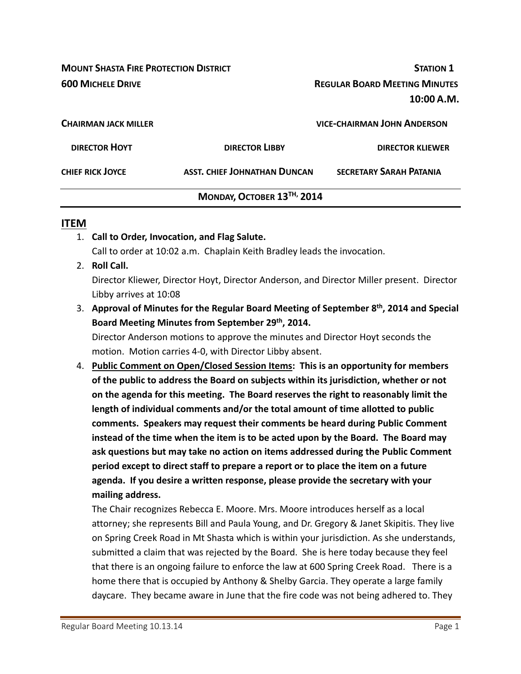**MOUNT SHASTA FIRE PROTECTION DISTRICT STATION 1 600 MICHELE DRIVE REGULAR BOARD MEETING MINUTES**

**10:00 A.M.**

| <b>CHAIRMAN JACK MILLER</b> |                              | <b>VICE-CHAIRMAN JOHN ANDERSON</b> |
|-----------------------------|------------------------------|------------------------------------|
| <b>DIRECTOR HOYT</b>        | <b>DIRECTOR LIBBY</b>        | <b>DIRECTOR KLIEWER</b>            |
| <b>CHIEF RICK JOYCE</b>     | ASST. CHIEF JOHNATHAN DUNCAN | <b>SECRETARY SARAH PATANIA</b>     |
|                             | MONDAY, OCTOBER 13TH, 2014   |                                    |

#### **ITEM**

- 1. **Call to Order, Invocation, and Flag Salute.** Call to order at 10:02 a.m. Chaplain Keith Bradley leads the invocation.
- 2. **Roll Call.**

Director Kliewer, Director Hoyt, Director Anderson, and Director Miller present. Director Libby arrives at 10:08

3. **Approval of Minutes for the Regular Board Meeting of September 8th, 2014 and Special Board Meeting Minutes from September 29th, 2014.**

Director Anderson motions to approve the minutes and Director Hoyt seconds the motion. Motion carries 4‐0, with Director Libby absent.

4. **Public Comment on Open/Closed Session Items: This is an opportunity for members of the public to address the Board on subjects within its jurisdiction, whether or not on the agenda for this meeting. The Board reserves the right to reasonably limit the length of individual comments and/or the total amount of time allotted to public comments. Speakers may request their comments be heard during Public Comment instead of the time when the item is to be acted upon by the Board. The Board may ask questions but may take no action on items addressed during the Public Comment period except to direct staff to prepare a report or to place the item on a future agenda. If you desire a written response, please provide the secretary with your mailing address.**

The Chair recognizes Rebecca E. Moore. Mrs. Moore introduces herself as a local attorney; she represents Bill and Paula Young, and Dr. Gregory & Janet Skipitis. They live on Spring Creek Road in Mt Shasta which is within your jurisdiction. As she understands, submitted a claim that was rejected by the Board. She is here today because they feel that there is an ongoing failure to enforce the law at 600 Spring Creek Road. There is a home there that is occupied by Anthony & Shelby Garcia. They operate a large family daycare. They became aware in June that the fire code was not being adhered to. They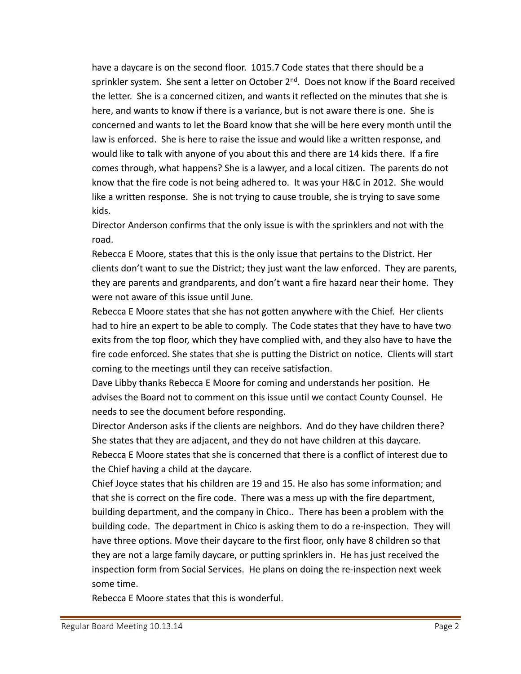have a daycare is on the second floor. 1015.7 Code states that there should be a sprinkler system. She sent a letter on October  $2<sup>nd</sup>$ . Does not know if the Board received the letter. She is a concerned citizen, and wants it reflected on the minutes that she is here, and wants to know if there is a variance, but is not aware there is one. She is concerned and wants to let the Board know that she will be here every month until the law is enforced. She is here to raise the issue and would like a written response, and would like to talk with anyone of you about this and there are 14 kids there. If a fire comes through, what happens? She is a lawyer, and a local citizen. The parents do not know that the fire code is not being adhered to. It was your H&C in 2012. She would like a written response. She is not trying to cause trouble, she is trying to save some kids.

Director Anderson confirms that the only issue is with the sprinklers and not with the road.

Rebecca E Moore, states that this is the only issue that pertains to the District. Her clients don't want to sue the District; they just want the law enforced. They are parents, they are parents and grandparents, and don't want a fire hazard near their home. They were not aware of this issue until June.

Rebecca E Moore states that she has not gotten anywhere with the Chief. Her clients had to hire an expert to be able to comply. The Code states that they have to have two exits from the top floor, which they have complied with, and they also have to have the fire code enforced. She states that she is putting the District on notice. Clients will start coming to the meetings until they can receive satisfaction.

Dave Libby thanks Rebecca E Moore for coming and understands her position. He advises the Board not to comment on this issue until we contact County Counsel. He needs to see the document before responding.

Director Anderson asks if the clients are neighbors. And do they have children there? She states that they are adjacent, and they do not have children at this daycare. Rebecca E Moore states that she is concerned that there is a conflict of interest due to the Chief having a child at the daycare.

Chief Joyce states that his children are 19 and 15. He also has some information; and that she is correct on the fire code. There was a mess up with the fire department, building department, and the company in Chico.. There has been a problem with the building code. The department in Chico is asking them to do a re-inspection. They will have three options. Move their daycare to the first floor, only have 8 children so that they are not a large family daycare, or putting sprinklers in. He has just received the inspection form from Social Services. He plans on doing the re‐inspection next week some time.

Rebecca E Moore states that this is wonderful.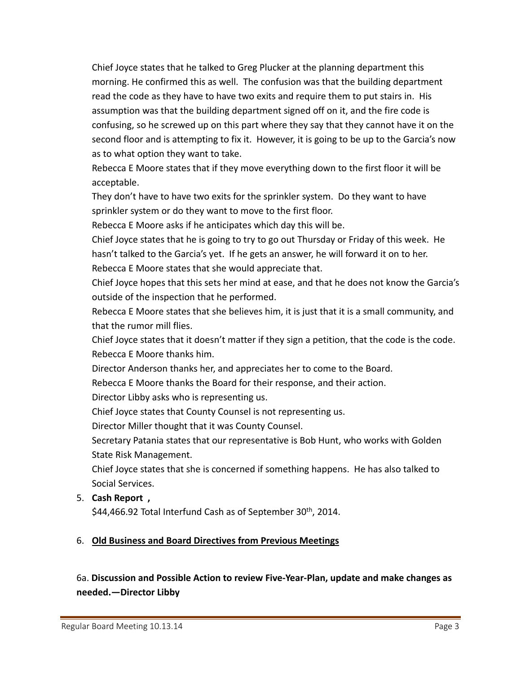Chief Joyce states that he talked to Greg Plucker at the planning department this morning. He confirmed this as well. The confusion was that the building department read the code as they have to have two exits and require them to put stairs in. His assumption was that the building department signed off on it, and the fire code is confusing, so he screwed up on this part where they say that they cannot have it on the second floor and is attempting to fix it. However, it is going to be up to the Garcia's now as to what option they want to take.

Rebecca E Moore states that if they move everything down to the first floor it will be acceptable.

They don't have to have two exits for the sprinkler system. Do they want to have sprinkler system or do they want to move to the first floor.

Rebecca E Moore asks if he anticipates which day this will be.

Chief Joyce states that he is going to try to go out Thursday or Friday of this week. He hasn't talked to the Garcia's yet. If he gets an answer, he will forward it on to her. Rebecca E Moore states that she would appreciate that.

Chief Joyce hopes that this sets her mind at ease, and that he does not know the Garcia's outside of the inspection that he performed.

Rebecca E Moore states that she believes him, it is just that it is a small community, and that the rumor mill flies.

Chief Joyce states that it doesn't matter if they sign a petition, that the code is the code. Rebecca E Moore thanks him.

Director Anderson thanks her, and appreciates her to come to the Board.

Rebecca E Moore thanks the Board for their response, and their action.

Director Libby asks who is representing us.

Chief Joyce states that County Counsel is not representing us.

Director Miller thought that it was County Counsel.

Secretary Patania states that our representative is Bob Hunt, who works with Golden State Risk Management.

Chief Joyce states that she is concerned if something happens. He has also talked to Social Services.

# 5. **Cash Report ,**

\$44,466.92 Total Interfund Cash as of September  $30<sup>th</sup>$ , 2014.

# 6. **Old Business and Board Directives from Previous Meetings**

# 6a. **Discussion and Possible Action to review Five‐Year‐Plan, update and make changes as needed.—Director Libby**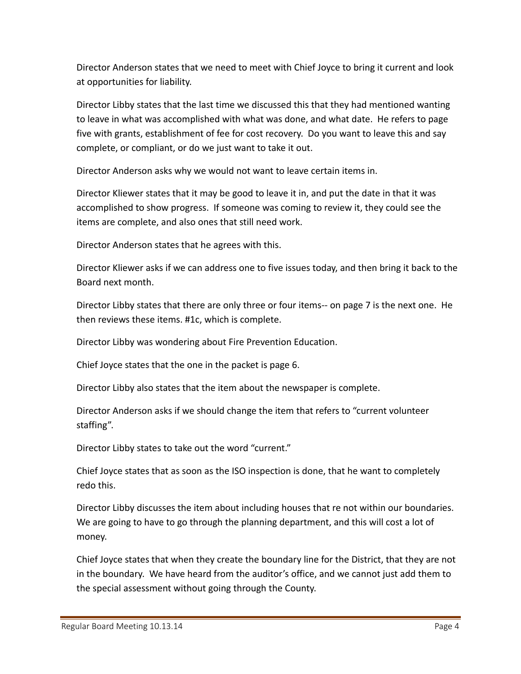Director Anderson states that we need to meet with Chief Joyce to bring it current and look at opportunities for liability.

Director Libby states that the last time we discussed this that they had mentioned wanting to leave in what was accomplished with what was done, and what date. He refers to page five with grants, establishment of fee for cost recovery. Do you want to leave this and say complete, or compliant, or do we just want to take it out.

Director Anderson asks why we would not want to leave certain items in.

Director Kliewer states that it may be good to leave it in, and put the date in that it was accomplished to show progress. If someone was coming to review it, they could see the items are complete, and also ones that still need work.

Director Anderson states that he agrees with this.

Director Kliewer asks if we can address one to five issues today, and then bring it back to the Board next month.

Director Libby states that there are only three or four items— on page 7 is the next one. He then reviews these items. #1c, which is complete.

Director Libby was wondering about Fire Prevention Education.

Chief Joyce states that the one in the packet is page 6.

Director Libby also states that the item about the newspaper is complete.

Director Anderson asks if we should change the item that refers to "current volunteer staffing".

Director Libby states to take out the word "current."

Chief Joyce states that as soon as the ISO inspection is done, that he want to completely redo this.

Director Libby discusses the item about including houses that re not within our boundaries. We are going to have to go through the planning department, and this will cost a lot of money.

Chief Joyce states that when they create the boundary line for the District, that they are not in the boundary. We have heard from the auditor's office, and we cannot just add them to the special assessment without going through the County.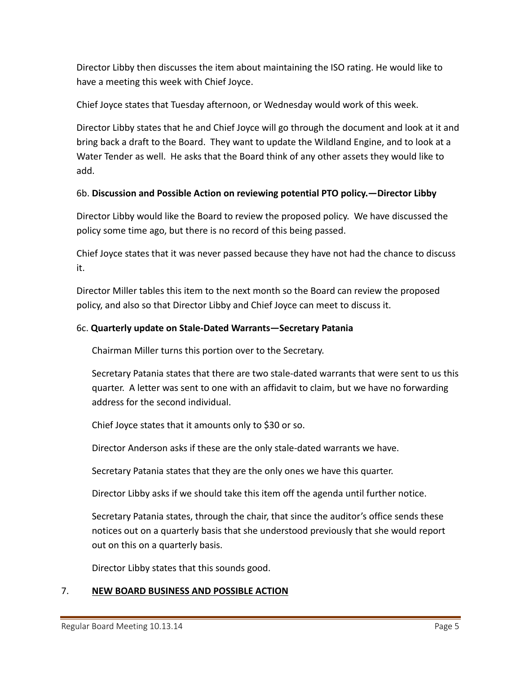Director Libby then discusses the item about maintaining the ISO rating. He would like to have a meeting this week with Chief Joyce.

Chief Joyce states that Tuesday afternoon, or Wednesday would work of this week.

Director Libby states that he and Chief Joyce will go through the document and look at it and bring back a draft to the Board. They want to update the Wildland Engine, and to look at a Water Tender as well. He asks that the Board think of any other assets they would like to add.

# 6b. **Discussion and Possible Action on reviewing potential PTO policy.—Director Libby**

Director Libby would like the Board to review the proposed policy. We have discussed the policy some time ago, but there is no record of this being passed.

Chief Joyce states that it was never passed because they have not had the chance to discuss it.

Director Miller tables this item to the next month so the Board can review the proposed policy, and also so that Director Libby and Chief Joyce can meet to discuss it.

### 6c. **Quarterly update on Stale‐Dated Warrants—Secretary Patania**

Chairman Miller turns this portion over to the Secretary.

Secretary Patania states that there are two stale‐dated warrants that were sent to us this quarter. A letter was sent to one with an affidavit to claim, but we have no forwarding address for the second individual.

Chief Joyce states that it amounts only to \$30 or so.

Director Anderson asks if these are the only stale‐dated warrants we have.

Secretary Patania states that they are the only ones we have this quarter.

Director Libby asks if we should take this item off the agenda until further notice.

Secretary Patania states, through the chair, that since the auditor's office sends these notices out on a quarterly basis that she understood previously that she would report out on this on a quarterly basis.

Director Libby states that this sounds good.

#### 7. **NEW BOARD BUSINESS AND POSSIBLE ACTION**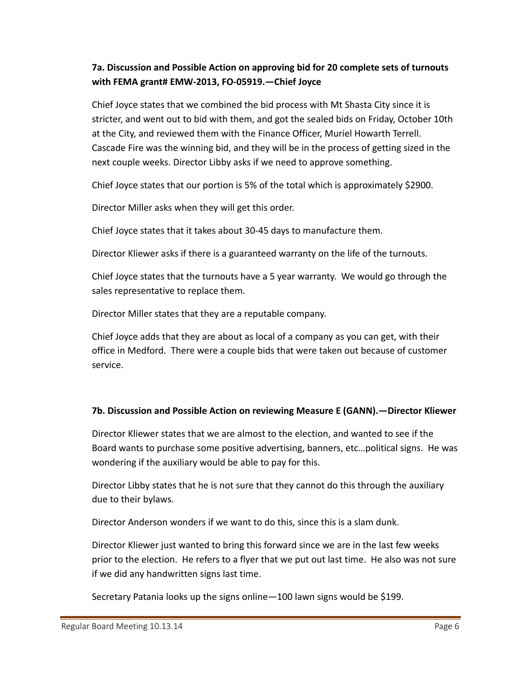# **7a. Discussion and Possible Action on approving bid for 20 complete sets of turnouts with FEMA grant# EMW‐2013, FO‐05919.—Chief Joyce**

Chief Joyce states that we combined the bid process with Mt Shasta City since it is stricter, and went out to bid with them, and got the sealed bids on Friday, October 10th at the City, and reviewed them with the Finance Officer, Muriel Howarth Terrell. Cascade Fire was the winning bid, and they will be in the process of getting sized in the next couple weeks. Director Libby asks if we need to approve something.

Chief Joyce states that our portion is 5% of the total which is approximately \$2900.

Director Miller asks when they will get this order.

Chief Joyce states that it takes about 30‐45 days to manufacture them.

Director Kliewer asks if there is a guaranteed warranty on the life of the turnouts.

Chief Joyce states that the turnouts have a 5 year warranty. We would go through the sales representative to replace them.

Director Miller states that they are a reputable company.

Chief Joyce adds that they are about as local of a company as you can get, with their office in Medford. There were a couple bids that were taken out because of customer service.

#### **7b. Discussion and Possible Action on reviewing Measure E (GANN).—Director Kliewer**

Director Kliewer states that we are almost to the election, and wanted to see if the Board wants to purchase some positive advertising, banners, etc…political signs. He was wondering if the auxiliary would be able to pay for this.

Director Libby states that he is not sure that they cannot do this through the auxiliary due to their bylaws.

Director Anderson wonders if we want to do this, since this is a slam dunk.

Director Kliewer just wanted to bring this forward since we are in the last few weeks prior to the election. He refers to a flyer that we put out last time. He also was not sure if we did any handwritten signs last time.

Secretary Patania looks up the signs online—100 lawn signs would be \$199.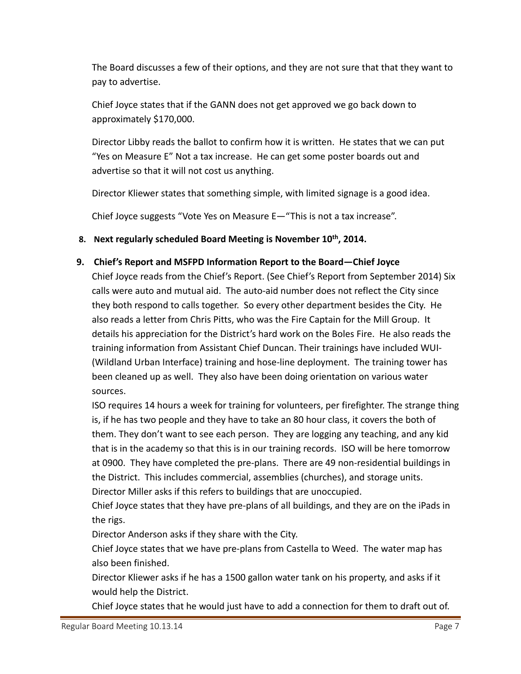The Board discusses a few of their options, and they are not sure that that they want to pay to advertise.

Chief Joyce states that if the GANN does not get approved we go back down to approximately \$170,000.

Director Libby reads the ballot to confirm how it is written. He states that we can put "Yes on Measure E" Not a tax increase. He can get some poster boards out and advertise so that it will not cost us anything.

Director Kliewer states that something simple, with limited signage is a good idea.

Chief Joyce suggests "Vote Yes on Measure E—"This is not a tax increase".

**8. Next regularly scheduled Board Meeting is November 10th, 2014.**

### **9. Chief's Report and MSFPD Information Report to the Board—Chief Joyce**

Chief Joyce reads from the Chief's Report. (See Chief's Report from September 2014) Six calls were auto and mutual aid. The auto‐aid number does not reflect the City since they both respond to calls together. So every other department besides the City. He also reads a letter from Chris Pitts, who was the Fire Captain for the Mill Group. It details his appreciation for the District's hard work on the Boles Fire. He also reads the training information from Assistant Chief Duncan. Their trainings have included WUI‐ (Wildland Urban Interface) training and hose‐line deployment. The training tower has been cleaned up as well. They also have been doing orientation on various water sources.

ISO requires 14 hours a week for training for volunteers, per firefighter. The strange thing is, if he has two people and they have to take an 80 hour class, it covers the both of them. They don't want to see each person. They are logging any teaching, and any kid that is in the academy so that this is in our training records. ISO will be here tomorrow at 0900. They have completed the pre‐plans. There are 49 non‐residential buildings in the District. This includes commercial, assemblies (churches), and storage units. Director Miller asks if this refers to buildings that are unoccupied.

Chief Joyce states that they have pre‐plans of all buildings, and they are on the iPads in the rigs.

Director Anderson asks if they share with the City.

Chief Joyce states that we have pre‐plans from Castella to Weed. The water map has also been finished.

Director Kliewer asks if he has a 1500 gallon water tank on his property, and asks if it would help the District.

Chief Joyce states that he would just have to add a connection for them to draft out of.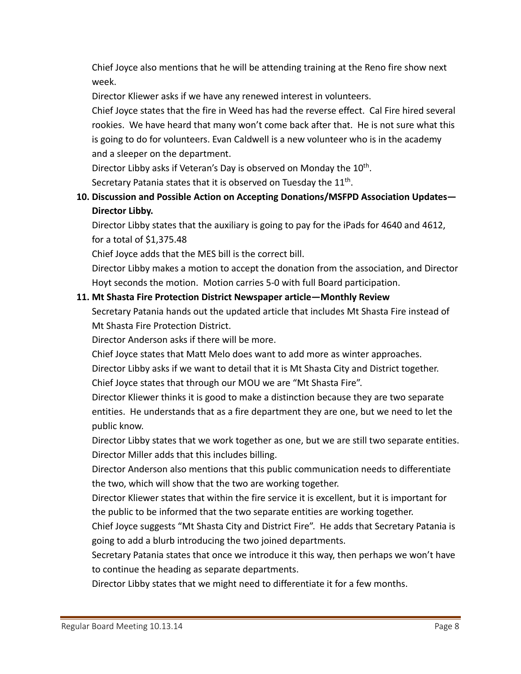Chief Joyce also mentions that he will be attending training at the Reno fire show next week.

Director Kliewer asks if we have any renewed interest in volunteers.

Chief Joyce states that the fire in Weed has had the reverse effect. Cal Fire hired several rookies. We have heard that many won't come back after that. He is not sure what this is going to do for volunteers. Evan Caldwell is a new volunteer who is in the academy and a sleeper on the department.

Director Libby asks if Veteran's Day is observed on Monday the 10<sup>th</sup>.

Secretary Patania states that it is observed on Tuesday the 11<sup>th</sup>.

# **10. Discussion and Possible Action on Accepting Donations/MSFPD Association Updates— Director Libby.**

Director Libby states that the auxiliary is going to pay for the iPads for 4640 and 4612, for a total of \$1,375.48

Chief Joyce adds that the MES bill is the correct bill.

Director Libby makes a motion to accept the donation from the association, and Director Hoyt seconds the motion. Motion carries 5‐0 with full Board participation.

### **11. Mt Shasta Fire Protection District Newspaper article—Monthly Review**

Secretary Patania hands out the updated article that includes Mt Shasta Fire instead of Mt Shasta Fire Protection District.

Director Anderson asks if there will be more.

Chief Joyce states that Matt Melo does want to add more as winter approaches.

Director Libby asks if we want to detail that it is Mt Shasta City and District together. Chief Joyce states that through our MOU we are "Mt Shasta Fire".

Director Kliewer thinks it is good to make a distinction because they are two separate entities. He understands that as a fire department they are one, but we need to let the public know.

Director Libby states that we work together as one, but we are still two separate entities. Director Miller adds that this includes billing.

Director Anderson also mentions that this public communication needs to differentiate the two, which will show that the two are working together.

Director Kliewer states that within the fire service it is excellent, but it is important for the public to be informed that the two separate entities are working together.

Chief Joyce suggests "Mt Shasta City and District Fire". He adds that Secretary Patania is going to add a blurb introducing the two joined departments.

Secretary Patania states that once we introduce it this way, then perhaps we won't have to continue the heading as separate departments.

Director Libby states that we might need to differentiate it for a few months.